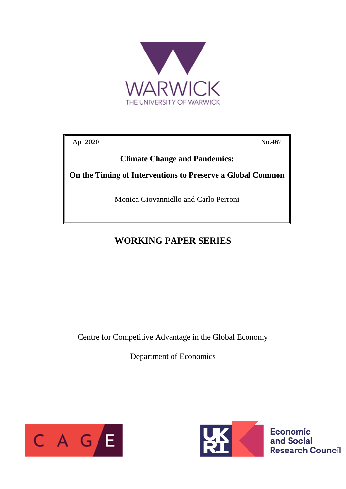

Apr 2020 No.467

**Climate Change and Pandemics:**

**On the Timing of Interventions to Preserve a Global Common**

Monica Giovanniello and Carlo Perroni

## **WORKING PAPER SERIES**

Centre for Competitive Advantage in the Global Economy

Department of Economics





**Economic** and Social **Research Council**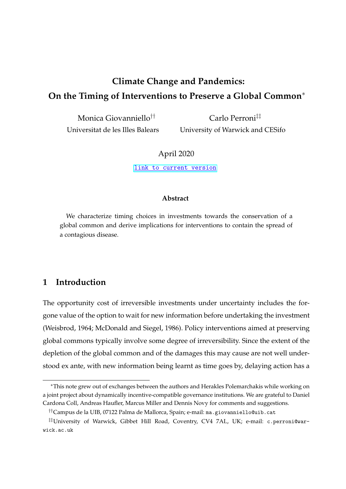# **Climate Change and Pandemics: On the Timing of Interventions to Preserve a Global Common**<sup>∗</sup>

Monica Giovanniello†† Universitat de les Illes Balears

Carlo Perroni‡‡ University of Warwick and CESifo

#### April 2020

[link to current version](https://warwick.ac.uk/fac/soc/economics/staff/cperroni/timing.pdf)

#### **Abstract**

We characterize timing choices in investments towards the conservation of a global common and derive implications for interventions to contain the spread of a contagious disease.

### **1 Introduction**

The opportunity cost of irreversible investments under uncertainty includes the forgone value of the option to wait for new information before undertaking the investment (Weisbrod, 1964; McDonald and Siegel, 1986). Policy interventions aimed at preserving global commons typically involve some degree of irreversibility. Since the extent of the depletion of the global common and of the damages this may cause are not well understood ex ante, with new information being learnt as time goes by, delaying action has a

<sup>∗</sup>This note grew out of exchanges between the authors and Herakles Polemarchakis while working on a joint project about dynamically incentive-compatible governance institutions. We are grateful to Daniel Cardona Coll, Andreas Haufler, Marcus Miller and Dennis Novy for comments and suggestions.

<sup>††</sup>Campus de la UIB, 07122 Palma de Mallorca, Spain; e-mail: ma.giovanniello@uib.cat

<sup>‡‡</sup>University of Warwick, Gibbet Hill Road, Coventry, CV4 7AL, UK; e-mail: c.perroni@warwick.ac.uk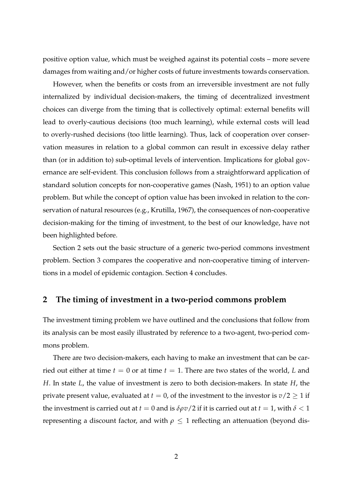positive option value, which must be weighed against its potential costs – more severe damages from waiting and/or higher costs of future investments towards conservation.

However, when the benefits or costs from an irreversible investment are not fully internalized by individual decision-makers, the timing of decentralized investment choices can diverge from the timing that is collectively optimal: external benefits will lead to overly-cautious decisions (too much learning), while external costs will lead to overly-rushed decisions (too little learning). Thus, lack of cooperation over conservation measures in relation to a global common can result in excessive delay rather than (or in addition to) sub-optimal levels of intervention. Implications for global governance are self-evident. This conclusion follows from a straightforward application of standard solution concepts for non-cooperative games (Nash, 1951) to an option value problem. But while the concept of option value has been invoked in relation to the conservation of natural resources (e.g., Krutilla, 1967), the consequences of non-cooperative decision-making for the timing of investment, to the best of our knowledge, have not been highlighted before.

Section 2 sets out the basic structure of a generic two-period commons investment problem. Section 3 compares the cooperative and non-cooperative timing of interventions in a model of epidemic contagion. Section 4 concludes.

#### **2 The timing of investment in a two-period commons problem**

The investment timing problem we have outlined and the conclusions that follow from its analysis can be most easily illustrated by reference to a two-agent, two-period commons problem.

There are two decision-makers, each having to make an investment that can be carried out either at time  $t = 0$  or at time  $t = 1$ . There are two states of the world, *L* and *H*. In state *L*, the value of investment is zero to both decision-makers. In state *H*, the private present value, evaluated at  $t = 0$ , of the investment to the investor is  $v/2 \ge 1$  if the investment is carried out at  $t = 0$  and is  $\delta \rho v/2$  if it is carried out at  $t = 1$ , with  $\delta < 1$ representing a discount factor, and with  $\rho \leq 1$  reflecting an attenuation (beyond dis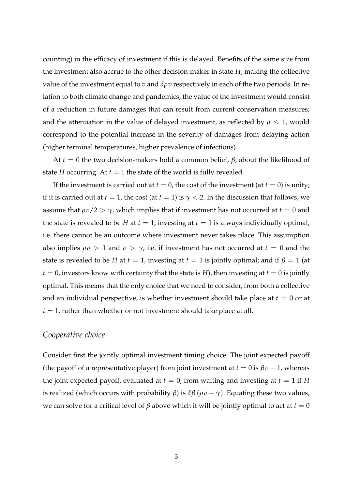counting) in the efficacy of investment if this is delayed. Benefits of the same size from the investment also accrue to the other decision-maker in state *H*, making the collective value of the investment equal to *v* and *δρv* respectively in each of the two periods. In relation to both climate change and pandemics, the value of the investment would consist of a reduction in future damages that can result from current conservation measures; and the attenuation in the value of delayed investment, as reflected by  $\rho \leq 1$ , would correspond to the potential increase in the severity of damages from delaying action (higher terminal temperatures, higher prevalence of infections).

At  $t = 0$  the two decision-makers hold a common belief,  $\beta$ , about the likelihood of state *H* occurring. At  $t = 1$  the state of the world is fully revealed.

If the investment is carried out at  $t = 0$ , the cost of the investment (at  $t = 0$ ) is unity; if it is carried out at  $t = 1$ , the cost (at  $t = 1$ ) is  $\gamma < 2$ . In the discussion that follows, we assume that  $\rho v/2 > \gamma$ , which implies that if investment has not occurred at  $t = 0$  and the state is revealed to be *H* at  $t = 1$ , investing at  $t = 1$  is always individually optimal, i.e. there cannot be an outcome where investment never takes place. This assumption also implies  $\rho v > 1$  and  $v > \gamma$ , i.e. if investment has not occurred at  $t = 0$  and the state is revealed to be *H* at  $t = 1$ , investing at  $t = 1$  is jointly optimal; and if  $\beta = 1$  (at  $t = 0$ , investors know with certainty that the state is *H*), then investing at  $t = 0$  is jointly optimal. This means that the only choice that we need to consider, from both a collective and an individual perspective, is whether investment should take place at  $t = 0$  or at  $t = 1$ , rather than whether or not investment should take place at all.

#### *Cooperative choice*

Consider first the jointly optimal investment timing choice. The joint expected payoff (the payoff of a representative player) from joint investment at  $t = 0$  is  $\beta v - 1$ , whereas the joint expected payoff, evaluated at  $t = 0$ , from waiting and investing at  $t = 1$  if *H* is realized (which occurs with probability *β*) is  $\delta \beta$  ( $\rho v - \gamma$ ). Equating these two values, we can solve for a critical level of *β* above which it will be jointly optimal to act at  $t = 0$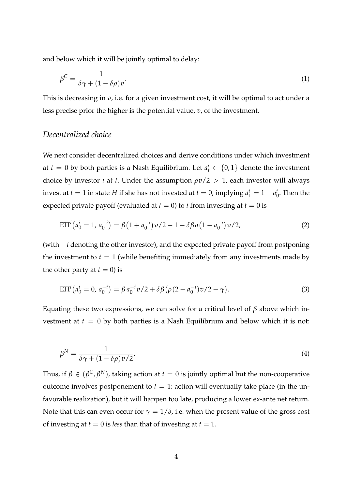<span id="page-4-0"></span>and below which it will be jointly optimal to delay:

$$
\beta^C = \frac{1}{\delta \gamma + (1 - \delta \rho)v}.\tag{1}
$$

This is decreasing in *v*, i.e. for a given investment cost, it will be optimal to act under a less precise prior the higher is the potential value, *v*, of the investment.

#### *Decentralized choice*

We next consider decentralized choices and derive conditions under which investment at  $t = 0$  by both parties is a Nash Equilibrium. Let  $a_t^i \in \{0,1\}$  denote the investment choice by investor *i* at *t*. Under the assumption  $\rho v/2 > 1$ , each investor will always invest at  $t = 1$  in state  $H$  if she has not invested at  $t = 0$ , implying  $a_1^i = 1 - a_0^i$  $\frac{\iota}{0}$ . Then the expected private payoff (evaluated at  $t = 0$ ) to *i* from investing at  $t = 0$  is

$$
E\Pi^{i}\left(a_{0}^{i}=1, a_{0}^{-i}\right)=\beta\left(1+a_{0}^{-i}\right)v/2-1+\delta\beta\rho\left(1-a_{0}^{-i}\right)v/2,
$$
\n(2)

(with −*i* denoting the other investor), and the expected private payoff from postponing the investment to  $t = 1$  (while benefiting immediately from any investments made by the other party at  $t = 0$ ) is

$$
E\Pi^{i}\left(a_{0}^{i}=0,a_{0}^{-i}\right)=\beta a_{0}^{-i}v/2+\delta\beta\left(\rho(2-a_{0}^{-i})v/2-\gamma\right).
$$
\n(3)

Equating these two expressions, we can solve for a critical level of *β* above which investment at  $t = 0$  by both parties is a Nash Equilibrium and below which it is not:

$$
\beta^N = \frac{1}{\delta \gamma + (1 - \delta \rho) v / 2}.
$$
\n(4)

Thus, if  $β ∈ (β^C, β^N)$ , taking action at  $t = 0$  is jointly optimal but the non-cooperative outcome involves postponement to  $t = 1$ : action will eventually take place (in the unfavorable realization), but it will happen too late, producing a lower ex-ante net return. Note that this can even occur for  $\gamma = 1/\delta$ , i.e. when the present value of the gross cost of investing at  $t = 0$  is *less* than that of investing at  $t = 1$ .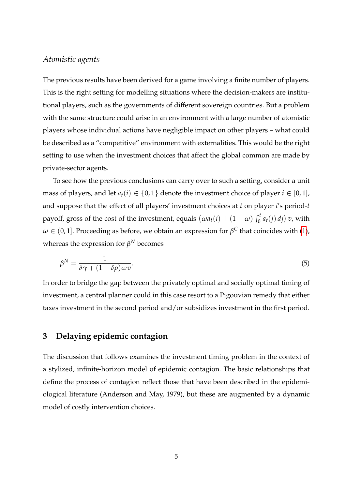### *Atomistic agents*

The previous results have been derived for a game involving a finite number of players. This is the right setting for modelling situations where the decision-makers are institutional players, such as the governments of different sovereign countries. But a problem with the same structure could arise in an environment with a large number of atomistic players whose individual actions have negligible impact on other players – what could be described as a "competitive" environment with externalities. This would be the right setting to use when the investment choices that affect the global common are made by private-sector agents.

To see how the previous conclusions can carry over to such a setting, consider a unit mass of players, and let  $a_t(i) \in \{0,1\}$  denote the investment choice of player  $i \in [0,1]$ , and suppose that the effect of all players' investment choices at *t* on player *i*'s period-*t* payoff, gross of the cost of the investment, equals  $(\omega a_t(i) + (1 - \omega) \int_0^t a_t(j) \, dj) v$ , with  $\omega \in (0,1].$  Proceeding as before, we obtain an expression for  $\beta^\mathsf{C}$  that coincides with [\(1\)](#page-4-0), whereas the expression for  $\beta^N$  becomes

$$
\beta^N = \frac{1}{\delta \gamma + (1 - \delta \rho)\omega v}.\tag{5}
$$

In order to bridge the gap between the privately optimal and socially optimal timing of investment, a central planner could in this case resort to a Pigouvian remedy that either taxes investment in the second period and/or subsidizes investment in the first period.

### **3 Delaying epidemic contagion**

The discussion that follows examines the investment timing problem in the context of a stylized, infinite-horizon model of epidemic contagion. The basic relationships that define the process of contagion reflect those that have been described in the epidemiological literature (Anderson and May, 1979), but these are augmented by a dynamic model of costly intervention choices.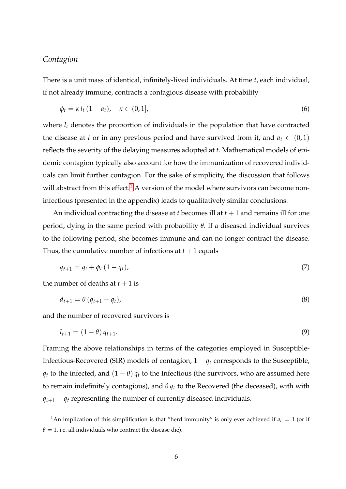### *Contagion*

There is a unit mass of identical, infinitely-lived individuals. At time *t*, each individual, if not already immune, contracts a contagious disease with probability

$$
\phi_t = \kappa l_t (1 - a_t), \quad \kappa \in (0, 1], \tag{6}
$$

where  $l_t$  denotes the proportion of individuals in the population that have contracted the disease at *t* or in any previous period and have survived from it, and  $a_t \in (0,1)$ reflects the severity of the delaying measures adopted at *t*. Mathematical models of epidemic contagion typically also account for how the immunization of recovered individuals can limit further contagion. For the sake of simplicity, the discussion that follows will abstract from this effect.<sup>1</sup> A version of the model where survivors can become noninfectious (presented in the appendix) leads to qualitatively similar conclusions.

An individual contracting the disease at *t* becomes ill at  $t + 1$  and remains ill for one period, dying in the same period with probability *θ*. If a diseased individual survives to the following period, she becomes immune and can no longer contract the disease. Thus, the cumulative number of infections at  $t + 1$  equals

$$
q_{t+1} = q_t + \phi_t (1 - q_t), \tag{7}
$$

the number of deaths at  $t + 1$  is

$$
d_{t+1} = \theta \left( q_{t+1} - q_t \right), \tag{8}
$$

and the number of recovered survivors is

$$
l_{t+1} = (1 - \theta) q_{t+1}.
$$
\n(9)

Framing the above relationships in terms of the categories employed in Susceptible-Infectious-Recovered (SIR) models of contagion,  $1 - q_t$  corresponds to the Susceptible, *q*<sup>t</sup> to the infected, and  $(1 - \theta)$  *q*<sup>t</sup> to the Infectious (the survivors, who are assumed here to remain indefinitely contagious), and *θ q<sup>t</sup>* to the Recovered (the deceased), with with  $q_{t+1} - q_t$  representing the number of currently diseased individuals.

<sup>&</sup>lt;sup>1</sup>An implication of this simplification is that "herd immunity" is only ever achieved if  $a_t = 1$  (or if  $\theta = 1$ , i.e. all individuals who contract the disease die).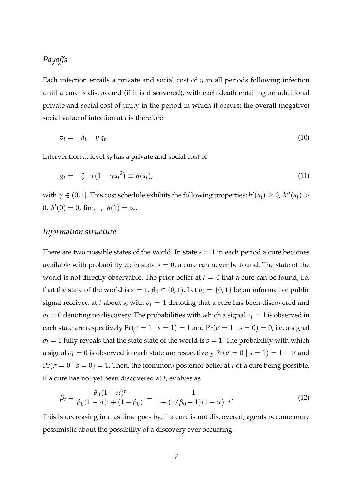### <span id="page-7-0"></span>*Payoffs*

Each infection entails a private and social cost of *η* in all periods following infection until a cure is discovered (if it is discovered), with each death entailing an additional private and social cost of unity in the period in which it occurs; the overall (negative) social value of infection at *t* is therefore

$$
v_t = -d_t - \eta \, q_t. \tag{10}
$$

Intervention at level *a<sup>t</sup>* has a private and social cost of

$$
g_t = -\zeta \ln \left(1 - \gamma a_t^2\right) \equiv h(a_t), \tag{11}
$$

with  $\gamma \in (0, 1]$ . This cost schedule exhibits the following properties:  $h'(a_t) \geq 0$ ,  $h''(a_t) >$  $0, h'(0) = 0, \lim_{\gamma \to 1} h(1) = \infty.$ 

#### *Information structure*

There are two possible states of the world. In state  $s = 1$  in each period a cure becomes available with probability  $\pi$ ; in state  $s = 0$ , a cure can never be found. The state of the world is not directly observable. The prior belief at  $t = 0$  that a cure can be found, i.e. that the state of the world is  $s = 1$ ,  $\beta_0 \in (0, 1)$ . Let  $\sigma_t = \{0, 1\}$  be an informative public signal received at *t* about *s*, with  $\sigma_t = 1$  denoting that a cure has been discovered and  $\sigma_t = 0$  denoting no discovery. The probabilities with which a signal  $\sigma_t = 1$  is observed in each state are respectively  $Pr(\sigma = 1 | s = 1) = 1$  and  $Pr(\sigma = 1 | s = 0) = 0$ ; i.e. a signal  $\sigma_t = 1$  fully reveals that the state state of the world is  $s = 1$ . The probability with which a signal  $\sigma_t = 0$  is observed in each state are respectively  $Pr(\sigma = 0 | s = 1) = 1 - \pi$  and  $Pr(\sigma = 0 \mid s = 0) = 1$ . Then, the (common) posterior belief at *t* of a cure being possible, if a cure has not yet been discovered at *t*, evolves as

$$
\beta_t = \frac{\beta_0 (1 - \pi)^t}{\beta_0 (1 - \pi)^t + (1 - \beta_0)} = \frac{1}{1 + (1/\beta_0 - 1)(1 - \pi)^{-t}}.
$$
\n(12)

This is decreasing in *t*: as time goes by, if a cure is not discovered, agents become more pessimistic about the possibility of a discovery ever occurring.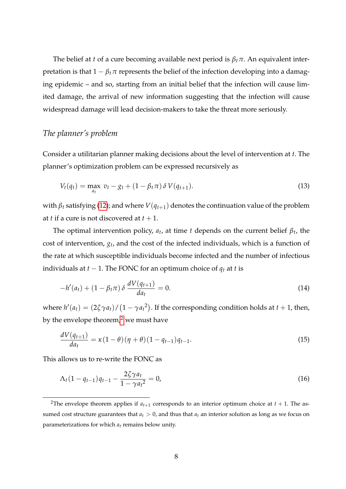The belief at *t* of a cure becoming available next period is *βtπ*. An equivalent interpretation is that  $1 - \beta_t \pi$  represents the belief of the infection developing into a damaging epidemic – and so, starting from an initial belief that the infection will cause limited damage, the arrival of new information suggesting that the infection will cause widespread damage will lead decision-makers to take the threat more seriously.

### *The planner's problem*

Consider a utilitarian planner making decisions about the level of intervention at *t*. The planner's optimization problem can be expressed recursively as

$$
V_t(q_t) = \max_{a_t} \ v_t - g_t + (1 - \beta_t \pi) \, \delta \, V(q_{t+1}). \tag{13}
$$

with  $\beta_t$  satisfying [\(12\)](#page-7-0); and where  $V(q_{t+1})$  denotes the continuation value of the problem at *t* if a cure is not discovered at  $t + 1$ .

The optimal intervention policy,  $a_t$ , at time  $t$  depends on the current belief  $\beta_t$ , the cost of intervention, *g<sup>t</sup>* , and the cost of the infected individuals, which is a function of the rate at which susceptible individuals become infected and the number of infectious individuals at  $t - 1$ . The FONC for an optimum choice of  $q_t$  at  $t$  is

$$
-h'(a_t) + (1 - \beta_t \pi) \delta \frac{dV(q_{t+1})}{da_t} = 0.
$$
 (14)

where  $h'(a_t) = (2\zeta\gamma a_t)/(1-\gamma a_t^2)$ . If the corresponding condition holds at  $t+1$ , then, by the envelope theorem, $<sup>2</sup>$  we must have</sup>

$$
\frac{dV(q_{t+1})}{da_t} = \kappa (1 - \theta) (\eta + \theta) (1 - q_{t-1}) q_{t-1}.
$$
\n(15)

This allows us to re-write the FONC as

$$
\Lambda_t (1 - q_{t-1}) q_{t-1} - \frac{2\zeta \gamma a_t}{1 - \gamma a_t^2} = 0, \tag{16}
$$

<sup>&</sup>lt;sup>2</sup>The envelope theorem applies if  $a_{t+1}$  corresponds to an interior optimum choice at  $t + 1$ . The assumed cost structure guarantees that  $a_t > 0$ , and thus that  $a_t$  an interior solution as long as we focus on parameterizations for which *a<sup>t</sup>* remains below unity.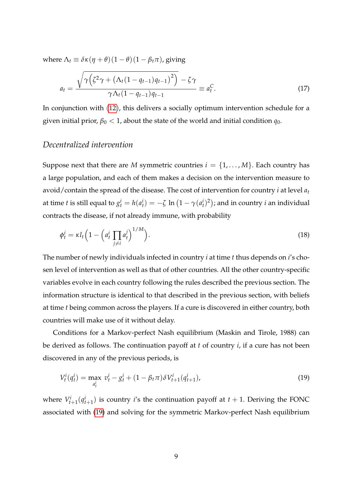<span id="page-9-0"></span>where  $\Lambda_t \equiv \delta \kappa (\eta + \theta) (1 - \theta) (1 - \beta_t \pi)$ , giving

$$
a_{t} = \frac{\sqrt{\gamma(\zeta^{2}\gamma + (\Lambda_{t}(1 - q_{t-1})q_{t-1})^{2})} - \zeta\gamma}{\gamma\Lambda_{t}(1 - q_{t-1})q_{t-1}} = a_{t}^{C}.
$$
\n(17)

In conjunction with ([12](#page-7-0)), this delivers a socially optimum intervention schedule for a given initial prior,  $\beta_0 < 1$ , about the state of the world and initial condition  $q_0$ .

### *Decentralized intervention*

Suppose next that there are *M* symmetric countries  $i = \{1, \ldots, M\}$ . Each country has a large population, and each of them makes a decision on the intervention measure to avoid/contain the spread of the disease. The cost of intervention for country *i* at level *a<sup>t</sup>* at time *t* is still equal to  $g_t^i = h(a_t^i) = -\zeta \ln\left(1 - \gamma(a_t^i)^2\right)$ ; and in country *i* an individual contracts the disease, if not already immune, with probability

$$
\phi_t^i = \kappa l_t \left( 1 - \left( a_t^i \prod_{j \neq i} a_t^j \right)^{1/M} \right). \tag{18}
$$

The number of newly individuals infected in country *i* at time *t* thus depends on *i*'s chosen level of intervention as well as that of other countries. All the other country-specific variables evolve in each country following the rules described the previous section. The information structure is identical to that described in the previous section, with beliefs at time *t* being common across the players. If a cure is discovered in either country, both countries will make use of it without delay.

Conditions for a Markov-perfect Nash equilibrium (Maskin and Tirole, 1988) can be derived as follows. The continuation payoff at *t* of country *i*, if a cure has not been discovered in any of the previous periods, is

$$
V_t^i(q_t^i) = \max_{a_t^i} v_t^i - g_t^i + (1 - \beta_t \pi) \delta V_{t+1}^i(q_{t+1}^i),
$$
\n(19)

where  $V_{t+1}^i(q_{t+1}^i)$  is country *i*'s the continuation payoff at  $t+1$ . Deriving the FONC associated with (19) and solving for the symmetric Markov-perfect Nash equilibrium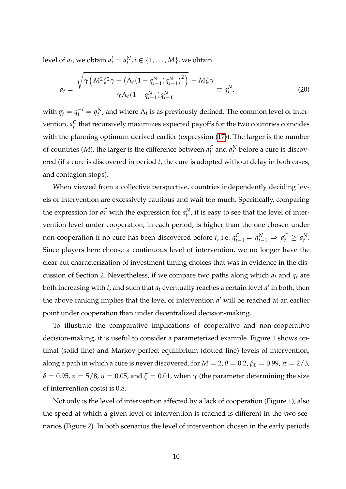level of  $a_t$ , we obtain  $a_t^i = a_t^N$ ,  $i \in \{1, ..., M\}$ , we obtain

$$
a_{t} = \frac{\sqrt{\gamma \left(M^{2} \zeta^{2} \gamma + \left(\Lambda_{t} (1 - q_{t-1}^{N}) q_{t-1}^{N}\right)^{2}\right)} - M \zeta \gamma}{\gamma \Lambda_{t} (1 - q_{t-1}^{N}) q_{t-1}^{N}} \equiv a_{t}^{N}, \qquad (20)
$$

with  $q_t^i = q_t^{-i} = q_t^N$ , and where  $\Lambda_t$  is as previously defined. The common level of intervention,  $a_t^C$  that recursively maximizes expected payoffs for the two countries coincides with the planning optimum derived earlier (expression [\(17\)](#page-9-0)). The larger is the number of countries  $(M)$ , the larger is the difference between  $a_t^C$  and  $a_t^N$  before a cure is discovered (if a cure is discovered in period *t*, the cure is adopted without delay in both cases, and contagion stops).

When viewed from a collective perspective, countries independently deciding levels of intervention are excessively cautious and wait too much. Specifically, comparing the expression for  $a_t^C$  with the expression for  $a_t^N$ , it is easy to see that the level of intervention level under cooperation, in each period, is higher than the one chosen under non-cooperation if no cure has been discovered before *t*, i.e.  $q_{t-1}^C = q_{t-1}^N \Rightarrow a_t^C \ge a_t^N$ . Since players here choose a continuous level of intervention, we no longer have the clear-cut characterization of investment timing choices that was in evidence in the discussion of Section 2. Nevertheless, if we compare two paths along which *a<sup>t</sup>* and *q<sup>t</sup>* are both increasing with  $t$ , and such that  $a_t$  eventually reaches a certain level  $a'$  in both, then the above ranking implies that the level of intervention  $a'$  will be reached at an earlier point under cooperation than under decentralized decision-making.

To illustrate the comparative implications of cooperative and non-cooperative decision-making, it is useful to consider a parameterized example. Figure 1 shows optimal (solid line) and Markov-perfect equilibrium (dotted line) levels of intervention, along a path in which a cure is never discovered, for  $M = 2$ ,  $\theta = 0.2$ ,  $\beta_0 = 0.99$ ,  $\pi = 2/3$ ,  $\delta = 0.95$ ,  $\kappa = 5/8$ ,  $\eta = 0.05$ , and  $\zeta = 0.01$ , when  $\gamma$  (the parameter determining the size of intervention costs) is 0.8.

Not only is the level of intervention affected by a lack of cooperation (Figure 1), also the speed at which a given level of intervention is reached is different in the two scenarios (Figure 2). In both scenarios the level of intervention chosen in the early periods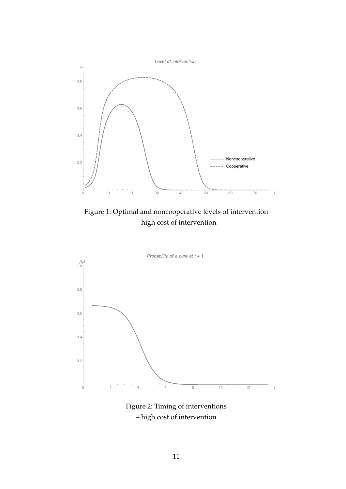

Figure 1: Optimal and noncooperative levels of intervention – high cost of intervention



Figure 2: Timing of interventions – high cost of intervention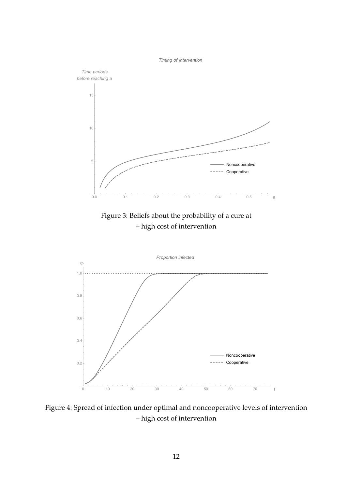*Timing of intervention*



Figure 4: Spread of infection under optimal and noncooperative levels of intervention – high cost of intervention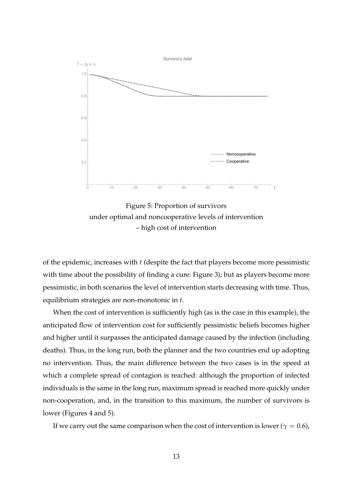

Figure 5: Proportion of survivors under optimal and noncooperative levels of intervention – high cost of intervention

of the epidemic, increases with *t* (despite the fact that players become more pessimistic with time about the possibility of finding a cure: Figure 3); but as players become more pessimistic, in both scenarios the level of intervention starts decreasing with time. Thus, equilibrium strategies are non-monotonic in *t*.

When the cost of intervention is sufficiently high (as is the case in this example), the anticipated flow of intervention cost for sufficiently pessimistic beliefs becomes higher and higher until it surpasses the anticipated damage caused by the infection (including deaths). Thus, in the long run, both the planner and the two countries end up adopting no intervention. Thus, the main difference between the two cases is in the speed at which a complete spread of contagion is reached: although the proportion of infected individuals is the same in the long run, maximum spread is reached more quickly under non-cooperation, and, in the transition to this maximum, the number of survivors is lower (Figures 4 and 5).

If we carry out the same comparison when the cost of intervention is lower ( $\gamma = 0.6$ ),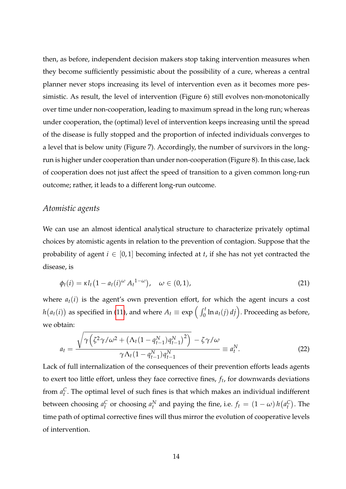then, as before, independent decision makers stop taking intervention measures when they become sufficiently pessimistic about the possibility of a cure, whereas a central planner never stops increasing its level of intervention even as it becomes more pessimistic. As result, the level of intervention (Figure 6) still evolves non-monotonically over time under non-cooperation, leading to maximum spread in the long run; whereas under cooperation, the (optimal) level of intervention keeps increasing until the spread of the disease is fully stopped and the proportion of infected individuals converges to a level that is below unity (Figure 7). Accordingly, the number of survivors in the longrun is higher under cooperation than under non-cooperation (Figure 8). In this case, lack of cooperation does not just affect the speed of transition to a given common long-run outcome; rather, it leads to a different long-run outcome.

#### *Atomistic agents*

We can use an almost identical analytical structure to characterize privately optimal choices by atomistic agents in relation to the prevention of contagion. Suppose that the probability of agent  $i \in [0,1]$  becoming infected at  $t$ , if she has not yet contracted the disease, is

$$
\phi_t(i) = \kappa l_t \left(1 - a_t(i)^{\omega} A_t^{-1-\omega}\right), \quad \omega \in (0,1), \tag{21}
$$

where  $a_t(i)$  is the agent's own prevention effort, for which the agent incurs a cost  $h\big(a_t(i)\big)$  as specified in [\(11\)](#page-7-0), and where  $A_t\equiv \exp\Big(\int_0^t\ln a_t(j)\,dj\Big).$  Proceeding as before, we obtain:

$$
a_{t} = \frac{\sqrt{\gamma \left(\zeta^{2} \gamma / \omega^{2} + \left(\Lambda_{t} (1 - q_{t-1}^{N}) q_{t-1}^{N}\right)^{2}\right)} - \zeta \gamma / \omega}{\gamma \Lambda_{t} (1 - q_{t-1}^{N}) q_{t-1}^{N}} \equiv a_{t}^{N}.
$$
\n(22)

Lack of full internalization of the consequences of their prevention efforts leads agents to exert too little effort, unless they face corrective fines, *f<sup>t</sup>* , for downwards deviations from  $a_t^C$ . The optimal level of such fines is that which makes an individual indifferent between choosing  $a_t^C$  or choosing  $a_t^N$  and paying the fine, i.e.  $f_t = (1 - \omega) h(a_t^C)$ . The time path of optimal corrective fines will thus mirror the evolution of cooperative levels of intervention.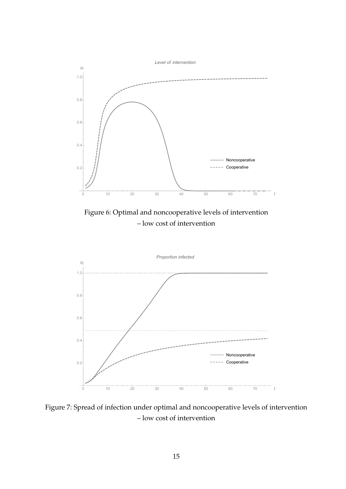

Figure 6: Optimal and noncooperative levels of intervention – low cost of intervention



Figure 7: Spread of infection under optimal and noncooperative levels of intervention – low cost of intervention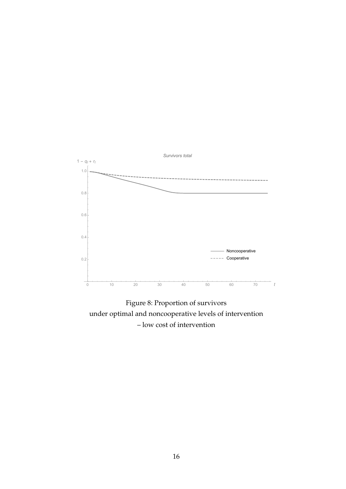

Figure 8: Proportion of survivors under optimal and noncooperative levels of intervention – low cost of intervention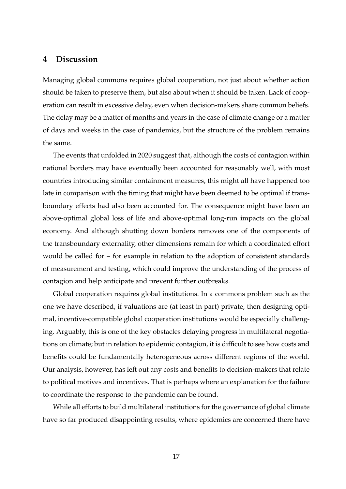### **4 Discussion**

Managing global commons requires global cooperation, not just about whether action should be taken to preserve them, but also about when it should be taken. Lack of cooperation can result in excessive delay, even when decision-makers share common beliefs. The delay may be a matter of months and years in the case of climate change or a matter of days and weeks in the case of pandemics, but the structure of the problem remains the same.

The events that unfolded in 2020 suggest that, although the costs of contagion within national borders may have eventually been accounted for reasonably well, with most countries introducing similar containment measures, this might all have happened too late in comparison with the timing that might have been deemed to be optimal if transboundary effects had also been accounted for. The consequence might have been an above-optimal global loss of life and above-optimal long-run impacts on the global economy. And although shutting down borders removes one of the components of the transboundary externality, other dimensions remain for which a coordinated effort would be called for – for example in relation to the adoption of consistent standards of measurement and testing, which could improve the understanding of the process of contagion and help anticipate and prevent further outbreaks.

Global cooperation requires global institutions. In a commons problem such as the one we have described, if valuations are (at least in part) private, then designing optimal, incentive-compatible global cooperation institutions would be especially challenging. Arguably, this is one of the key obstacles delaying progress in multilateral negotiations on climate; but in relation to epidemic contagion, it is difficult to see how costs and benefits could be fundamentally heterogeneous across different regions of the world. Our analysis, however, has left out any costs and benefits to decision-makers that relate to political motives and incentives. That is perhaps where an explanation for the failure to coordinate the response to the pandemic can be found.

While all efforts to build multilateral institutions for the governance of global climate have so far produced disappointing results, where epidemics are concerned there have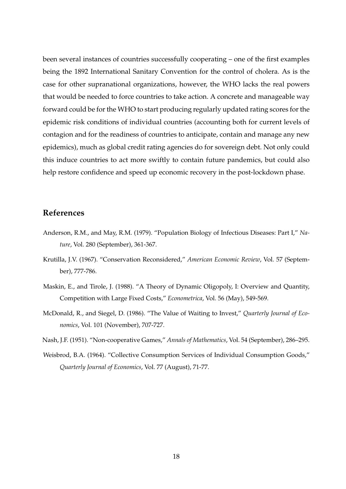been several instances of countries successfully cooperating – one of the first examples being the 1892 International Sanitary Convention for the control of cholera. As is the case for other supranational organizations, however, the WHO lacks the real powers that would be needed to force countries to take action. A concrete and manageable way forward could be for the WHO to start producing regularly updated rating scores for the epidemic risk conditions of individual countries (accounting both for current levels of contagion and for the readiness of countries to anticipate, contain and manage any new epidemics), much as global credit rating agencies do for sovereign debt. Not only could this induce countries to act more swiftly to contain future pandemics, but could also help restore confidence and speed up economic recovery in the post-lockdown phase.

#### **References**

- Anderson, R.M., and May, R.M. (1979). "Population Biology of Infectious Diseases: Part I," *Nature*, Vol. 280 (September), 361-367.
- Krutilla, J.V. (1967). "Conservation Reconsidered," *American Economic Review*, Vol. 57 (September), 777-786.
- Maskin, E., and Tirole, J. (1988). "A Theory of Dynamic Oligopoly, I: Overview and Quantity, Competition with Large Fixed Costs," *Econometrica*, Vol. 56 (May), 549-569.
- McDonald, R., and Siegel, D. (1986). "The Value of Waiting to Invest," *Quarterly Journal of Economics*, Vol. 101 (November), 707-727.
- Nash, J.F. (1951). "Non-cooperative Games," *Annals of Mathematics*, Vol. 54 (September), 286–295.
- Weisbrod, B.A. (1964). "Collective Consumption Services of Individual Consumption Goods," *Quarterly Journal of Economics*, Vol. 77 (August), 71-77.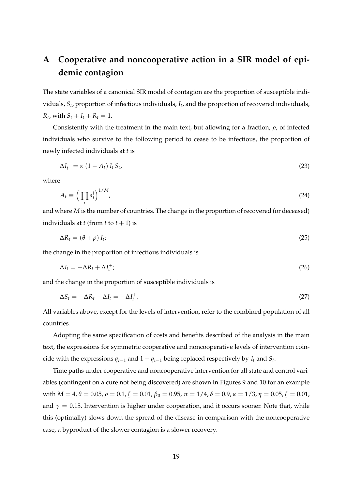## **A Cooperative and noncooperative action in a SIR model of epidemic contagion**

The state variables of a canonical SIR model of contagion are the proportion of susceptible individuals, *S<sup>t</sup>* , proportion of infectious individuals, *I<sup>t</sup>* , and the proportion of recovered individuals,  $R_t$ , with  $S_t + I_t + R_t = 1$ .

Consistently with the treatment in the main text, but allowing for a fraction, *ρ*, of infected individuals who survive to the following period to cease to be infectious, the proportion of newly infected individuals at *t* is

$$
\Delta I_t^+ = \kappa \left(1 - A_t\right) I_t S_t,\tag{23}
$$

where

$$
A_t \equiv \left(\prod_i a_t^i\right)^{1/M},\tag{24}
$$

and where *M* is the number of countries. The change in the proportion of recovered (or deceased) individuals at *t* (from *t* to  $t + 1$ ) is

$$
\Delta R_t = (\theta + \rho) I_t; \tag{25}
$$

the change in the proportion of infectious individuals is

$$
\Delta I_t = -\Delta R_t + \Delta I_t^+; \tag{26}
$$

and the change in the proportion of susceptible individuals is

$$
\Delta S_t = -\Delta R_t - \Delta I_t = -\Delta I_t^+.
$$
\n(27)

All variables above, except for the levels of intervention, refer to the combined population of all countries.

Adopting the same specification of costs and benefits described of the analysis in the main text, the expressions for symmetric cooperative and noncooperative levels of intervention coincide with the expressions  $q_{t-1}$  and  $1 - q_{t-1}$  being replaced respectively by  $I_t$  and  $S_t$ .

Time paths under cooperative and noncooperative intervention for all state and control variables (contingent on a cure not being discovered) are shown in Figures 9 and 10 for an example with  $M = 4$ ,  $\theta = 0.05$ ,  $\rho = 0.1$ ,  $\zeta = 0.01$ ,  $\beta_0 = 0.95$ ,  $\pi = 1/4$ ,  $\delta = 0.9$ ,  $\kappa = 1/3$ ,  $\eta = 0.05$ ,  $\zeta = 0.01$ , and  $\gamma = 0.15$ . Intervention is higher under cooperation, and it occurs sooner. Note that, while this (optimally) slows down the spread of the disease in comparison with the noncooperative case, a byproduct of the slower contagion is a slower recovery.